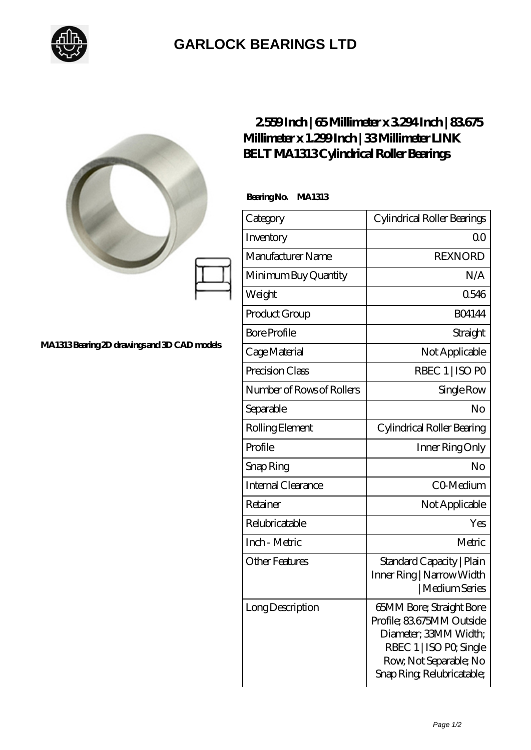

## **[GARLOCK BEARINGS LTD](https://m.letterstopriests.com)**

|                                             | 2559Inch   65Millimeter x 3294Inch   83675<br>Millimeter x 1.299Inch   33Millimeter LINK<br><b>BELT MA1313Cylindrical Roller Bearings</b> |                                                                                                                                                                        |
|---------------------------------------------|-------------------------------------------------------------------------------------------------------------------------------------------|------------------------------------------------------------------------------------------------------------------------------------------------------------------------|
|                                             | BearingNo.<br><b>MA1313</b>                                                                                                               |                                                                                                                                                                        |
|                                             | Category                                                                                                                                  | Cylindrical Roller Bearings                                                                                                                                            |
|                                             | Inventory                                                                                                                                 | 0 <sup>0</sup>                                                                                                                                                         |
|                                             | Manufacturer Name                                                                                                                         | <b>REXNORD</b>                                                                                                                                                         |
| MA1313Bearing 2D drawings and 3D CAD models | Minimum Buy Quantity                                                                                                                      | N/A                                                                                                                                                                    |
|                                             | Weight                                                                                                                                    | 0546                                                                                                                                                                   |
|                                             | Product Group                                                                                                                             | <b>BO4144</b>                                                                                                                                                          |
|                                             | <b>Bore Profile</b>                                                                                                                       | Straight                                                                                                                                                               |
|                                             | Cage Material                                                                                                                             | Not Applicable                                                                                                                                                         |
|                                             | Precision Class                                                                                                                           | RBEC 1   ISO PO                                                                                                                                                        |
|                                             | Number of Rows of Rollers                                                                                                                 | Single Row                                                                                                                                                             |
|                                             | Separable                                                                                                                                 | No                                                                                                                                                                     |
|                                             | Rolling Element                                                                                                                           | Cylindrical Roller Bearing                                                                                                                                             |
|                                             | Profile                                                                                                                                   | Inner Ring Only                                                                                                                                                        |
|                                             | Snap Ring                                                                                                                                 | No                                                                                                                                                                     |
|                                             | Internal Clearance                                                                                                                        | CO-Medium                                                                                                                                                              |
|                                             | Retainer                                                                                                                                  | Not Applicable                                                                                                                                                         |
|                                             | Relubricatable                                                                                                                            | Yes                                                                                                                                                                    |
|                                             | Inch - Metric                                                                                                                             | Metric                                                                                                                                                                 |
|                                             | <b>Other Features</b>                                                                                                                     | Standard Capacity   Plain<br>Inner Ring   Narrow Width<br>  Medium Series                                                                                              |
|                                             | Long Description                                                                                                                          | <b>65MM Bore; Straight Bore</b><br>Profile; 83675MM Outside<br>Diameter; 33MM Width;<br>RBEC 1   ISO PO, Single<br>Row, Not Separable; No<br>Snap Ring Relubricatable; |